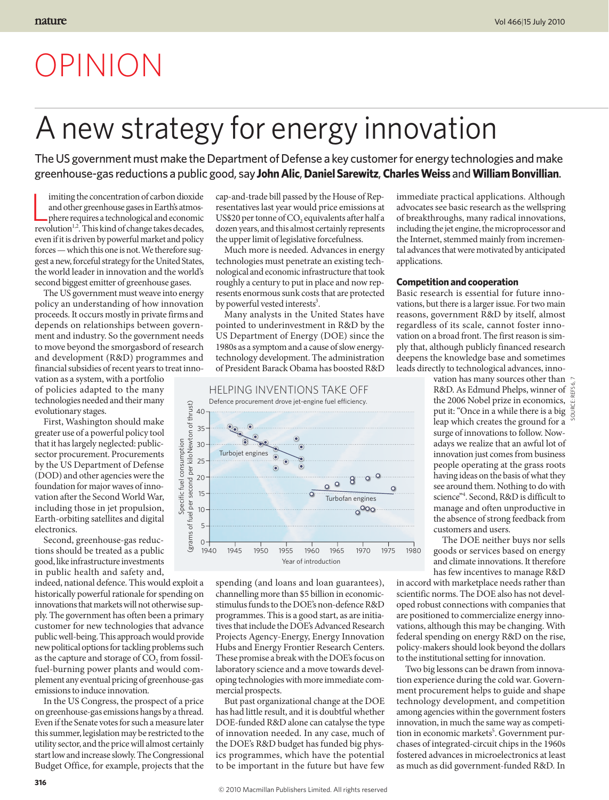## OPINION

## A new strategy for energy innovation

The US government must make the Department of Defense a key customer for energy technologies and make greenhouse-gas reductions a public good, say **John Alic**, **Daniel Sarewitz**, **Charles Weiss** and **William Bonvillian**.

 $\parallel$  imiting the concentration of carbon dioxide and other greenhouse gases in Earth's atmosphere requires a technological and economic revolution<sup>1,2</sup>. This kind of change takes decades, imiting the concentration of carbon dioxide and other greenhouse gases in Earth's atmosphere requires a technological and economic even if it is driven by powerful market and policy forces — which this one is not. We therefore suggest a new, forceful strategy for the United States, the world leader in innovation and the world's second biggest emitter of greenhouse gases.

The US government must weave into energy policy an understanding of how innovation proceeds. It occurs mostly in private firms and depends on relationships between government and industry. So the government needs to move beyond the smorgasbord of research and development (R&D) programmes and financial subsidies of recent years to treat inno-

vation as a system, with a portfolio of policies adapted to the many technologies needed and their many evolutionary stages.

First, Washington should make greater use of a powerful policy tool that it has largely neglected: publicsector procurement. Procurements by the US Department of Defense (DOD) and other agencies were the foundation for major waves of innovation after the Second World War, including those in jet propulsion, Earth-orbiting satellites and digital electronics.

Second, greenhouse-gas reductions should be treated as a public good, like infrastructure investments in public health and safety and,

indeed, national defence. This would exploit a historically powerful rationale for spending on innovations that markets will not otherwise supply. The government has often been a primary customer for new technologies that advance public well-being. This approach would provide new political options for tackling problems such as the capture and storage of  $CO$ , from fossilfuel-burning power plants and would complement any eventual pricing of greenhouse-gas emissions to induce innovation.

In the US Congress, the prospect of a price on greenhouse-gas emissions hangs by a thread. Even if the Senate votes for such a measure later this summer, legislation may be restricted to the utility sector, and the price will almost certainly start low and increase slowly. The Congressional Budget Office, for example, projects that the

cap-and-trade bill passed by the House of Representatives last year would price emissions at US\$20 per tonne of CO<sub>2</sub> equivalents after half a dozen years, and this almost certainly represents the upper limit of legislative forcefulness.

Much more is needed. Advances in energy technologies must penetrate an existing technological and economic infrastructure that took roughly a century to put in place and now represents enormous sunk costs that are protected by powerful vested interests<sup>3</sup>.

Many analysts in the United States have pointed to underinvestment in R&D by the US Department of Energy (DOE) since the 1980s as a symptom and a cause of slow energytechnology development. The administration of President Barack Obama has boosted R&D



spending (and loans and loan guarantees), channelling more than \$5 billion in economicstimulus funds to the DOE's non -defence R&D programmes. This is a good start, as are initiatives that include the DOE's Advanced Research Projects Agency-Energy, Energy Innovation Hubs and Energy Frontier Research Centers. These promise a break with the DOE's focus on laboratory science and a move towards developing technologies with more immediate commercial prospects.

But past organizational change at the DOE has had little result, and it is doubtful whether DOE-funded R&D alone can catalyse the type of innovation needed. In any case, much of the DOE's R&D budget has funded big physics programmes, which have the potential to be important in the future but have few

immediate practical applications. Although advocates see basic research as the wellspring of breakthroughs, many radical innovations, including the jet engine, the microprocessor and the Internet, stemmed mainly from incremental advances that were motivated by anticipated applications.

## **Competition and cooperation**

Basic research is essential for future innovations, but there is a larger issue. For two main reasons, government R&D by itself, almost regardless of its scale, cannot foster innovation on a broad front. The first reason is simply that, although publicly financed research deepens the knowledge base and sometimes leads directly to technological advances, inno-

> vation has many sources other than R&D. As Edmund Phelps, winner of the 2006 Nobel prize in economics, put it: "Once in a while there is a big  $\frac{8}{9}$ leap which creates the ground for a surge of innovations to follow. Nowadays we realize that an awful lot of innovation just comes from business people operating at the grass roots having ideas on the basis of what they see around them. Nothing to do with science"4 . Second, R&D is difficult to manage and often unproductive in the absence of strong feedback from customers and users.

The DOE neither buys nor sells goods or services based on energy and climate innovations. It therefore has few incentives to manage R&D

in accord with marketplace needs rather than scientific norms. The DOE also has not developed robust connections with companies that are positioned to commercialize energy innovations, although this may be changing. With federal spending on energy R&D on the rise, policy-makers should look beyond the dollars to the institutional setting for innovation.

Two big lessons can be drawn from innovation experience during the cold war. Government procurement helps to guide and shape technology development, and competition among agencies within the government fosters innovation, in much the same way as competition in economic markets<sup>5</sup>. Government purchases of integrated-circuit chips in the 1960s fostered advances in microelectronics at least as much as did government-funded R&D. In SOURCE: REFS 6, 7